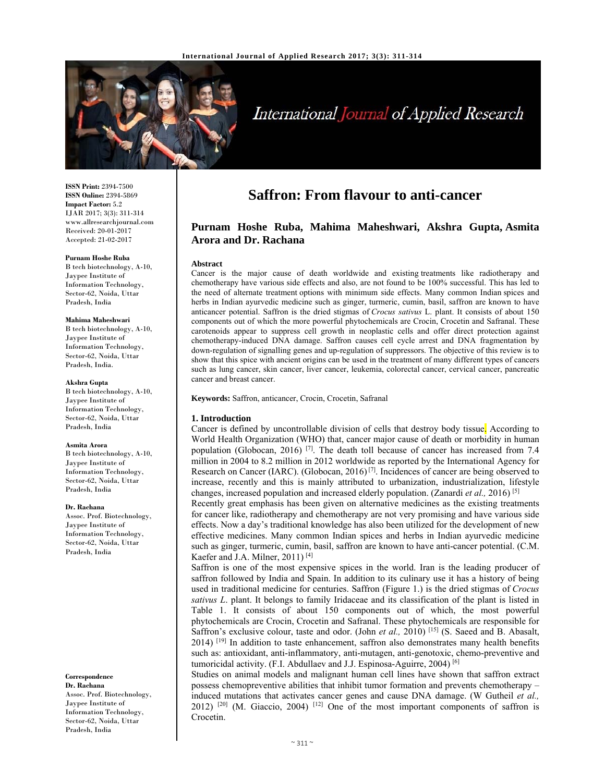

# International Journal of Applied Research

**ISSN Print:** 2394-7500 **ISSN Online:** 2394-5869 **Impact Factor:** 5.2 IJAR 2017; 3(3): 311-314 www.allresearchjournal.com Received: 20-01-2017 Accepted: 21-02-2017

#### **Purnam Hoshe Ruba**

B tech biotechnology, A-10, Jaypee Institute of Information Technology, Sector-62, Noida, Uttar Pradesh, India

#### **Mahima Maheshwari**

B tech biotechnology, A-10, Jaypee Institute of Information Technology, Sector-62, Noida, Uttar Pradesh, India.

#### **Akshra Gupta**

B tech biotechnology, A-10, Jaypee Institute of Information Technology, Sector-62, Noida, Uttar Pradesh, India

#### **Asmita Arora**

B tech biotechnology, A-10, Jaypee Institute of Information Technology, Sector-62, Noida, Uttar Pradesh, India

#### **Dr. Rachana**

Assoc. Prof. Biotechnology, Jaypee Institute of Information Technology, Sector-62, Noida, Uttar Pradesh, India

#### **Correspondence**

**Dr. Rachana**  Assoc. Prof. Biotechnology, Jaypee Institute of Information Technology, Sector-62, Noida, Uttar Pradesh, India

# **Saffron: From flavour to anti-cancer**

# **Purnam Hoshe Ruba, Mahima Maheshwari, Akshra Gupta, Asmita Arora and Dr. Rachana**

#### **Abstract**

Cancer is the major cause of death worldwide and existing treatments like radiotherapy and chemotherapy have various side effects and also, are not found to be 100% successful. This has led to the need of alternate treatment options with minimum side effects. Many common Indian spices and herbs in Indian ayurvedic medicine such as ginger, turmeric, cumin, basil, saffron are known to have anticancer potential. Saffron is the dried stigmas of *Crocus sativus* L. plant. It consists of about 150 components out of which the more powerful phytochemicals are Crocin, Crocetin and Safranal. These carotenoids appear to suppress cell growth in neoplastic cells and offer direct protection against chemotherapy-induced DNA damage. Saffron causes cell cycle arrest and DNA fragmentation by down-regulation of signalling genes and up-regulation of suppressors. The objective of this review is to show that this spice with ancient origins can be used in the treatment of many different types of cancers such as lung cancer, skin cancer, liver cancer, leukemia, colorectal cancer, cervical cancer, pancreatic cancer and breast cancer.

**Keywords:** Saffron, anticancer, Crocin, Crocetin, Safranal

#### **1. Introduction**

Cancer is defined by uncontrollable division of cells that destroy body tissue. According to World Health Organization (WHO) that, cancer major cause of death or morbidity in human population (Globocan, 2016)  $[7]$ . The death toll because of cancer has increased from 7.4 million in 2004 to 8.2 million in 2012 worldwide as reported by the International Agency for Research on Cancer (IARC). (Globocan, 2016) [7]. Incidences of cancer are being observed to increase, recently and this is mainly attributed to urbanization, industrialization, lifestyle changes, increased population and increased elderly population. (Zanardi *et al.,* 2016) [5]

Recently great emphasis has been given on alternative medicines as the existing treatments for cancer like, radiotherapy and chemotherapy are not very promising and have various side effects. Now a day's traditional knowledge has also been utilized for the development of new effective medicines. Many common Indian spices and herbs in Indian ayurvedic medicine such as ginger, turmeric, cumin, basil, saffron are known to have anti-cancer potential. (C.M. Kaefer and J.A. Milner, 2011) [4]

Saffron is one of the most expensive spices in the world. Iran is the leading producer of saffron followed by India and Spain. In addition to its culinary use it has a history of being used in traditional medicine for centuries. Saffron (Figure 1.) is the dried stigmas of *Crocus sativus L*. plant. It belongs to family Iridaceae and its classification of the plant is listed in Table 1. It consists of about 150 components out of which, the most powerful phytochemicals are Crocin, Crocetin and Safranal. These phytochemicals are responsible for Saffron's exclusive colour, taste and odor. (John *et al.,* 2010) [15] (S. Saeed and B. Abasalt,  $2014$ ) [19] In addition to taste enhancement, saffron also demonstrates many health benefits such as: antioxidant, anti-inflammatory, anti-mutagen, anti-genotoxic, chemo-preventive and tumoricidal activity. (F.I. Abdullaev and J.J. Espinosa-Aguirre, 2004) [6]

Studies on animal models and malignant human cell lines have shown that saffron extract possess chemopreventive abilities that inhibit tumor formation and prevents chemotherapy – induced mutations that activates cancer genes and cause DNA damage. (W Gutheil *et al.,*  $2012$ )  $^{[20]}$  (M. Giaccio, 2004)  $^{[12]}$  One of the most important components of saffron is Crocetin.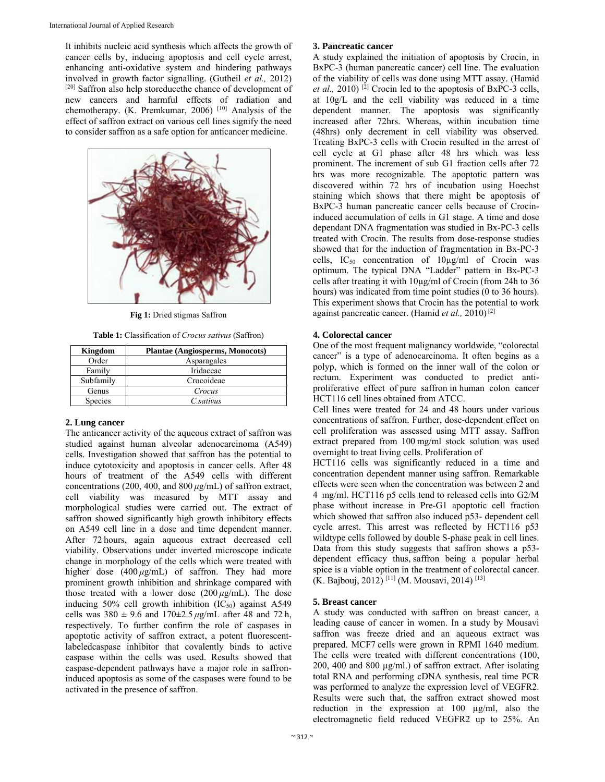It inhibits nucleic acid synthesis which affects the growth of cancer cells by, inducing apoptosis and cell cycle arrest, enhancing anti-oxidative system and hindering pathways involved in growth factor signalling. (Gutheil *et al.,* 2012) [20] Saffron also help storeducethe chance of development of new cancers and harmful effects of radiation and chemotherapy. (K. Premkumar, 2006) [10] Analysis of the effect of saffron extract on various cell lines signify the need to consider saffron as a safe option for anticancer medicine.



**Fig 1:** Dried stigmas Saffron

**Table 1:** Classification of *Crocus sativus* (Saffron)

| Kingdom        | <b>Plantae (Angiosperms, Monocots)</b> |
|----------------|----------------------------------------|
| Order          | Asparagales                            |
| Family         | Iridaceae                              |
| Subfamily      | Crocoideae                             |
| Genus          | Crocus                                 |
| <b>Species</b> | C.sativus                              |

### **2. Lung cancer**

The anticancer activity of the aqueous extract of saffron was studied against human alveolar adenocarcinoma (A549) cells. Investigation showed that saffron has the potential to induce cytotoxicity and apoptosis in cancer cells. After 48 hours of treatment of the A549 cells with different concentrations (200, 400, and 800 *μ*g/mL) of saffron extract, cell viability was measured by MTT assay and morphological studies were carried out. The extract of saffron showed significantly high growth inhibitory effects on A549 cell line in a dose and time dependent manner. After 72 hours, again aqueous extract decreased cell viability. Observations under inverted microscope indicate change in morphology of the cells which were treated with higher dose  $(400 \mu g/mL)$  of saffron. They had more prominent growth inhibition and shrinkage compared with those treated with a lower dose  $(200 \mu g/mL)$ . The dose inducing  $50\%$  cell growth inhibition  $(IC_{50})$  against A549 cells was  $380 \pm 9.6$  and  $170 \pm 2.5 \,\mu$ g/mL after 48 and 72 h, respectively. To further confirm the role of caspases in apoptotic activity of saffron extract, a potent fluorescentlabeledcaspase inhibitor that covalently binds to active caspase within the cells was used. Results showed that caspase-dependent pathways have a major role in saffroninduced apoptosis as some of the caspases were found to be activated in the presence of saffron.

#### **3. Pancreatic cancer**

A study explained the initiation of apoptosis by Crocin, in BxPC-3 (human pancreatic cancer) cell line. The evaluation of the viability of cells was done using MTT assay. (Hamid *et al.,* 2010) [2] Crocin led to the apoptosis of BxPC-3 cells, at 10g/L and the cell viability was reduced in a time dependent manner. The apoptosis was significantly increased after 72hrs. Whereas, within incubation time (48hrs) only decrement in cell viability was observed. Treating BxPC-3 cells with Crocin resulted in the arrest of cell cycle at G1 phase after 48 hrs which was less prominent. The increment of sub G1 fraction cells after 72 hrs was more recognizable. The apoptotic pattern was discovered within 72 hrs of incubation using Hoechst staining which shows that there might be apoptosis of BxPC-3 human pancreatic cancer cells because of Crocininduced accumulation of cells in G1 stage. A time and dose dependant DNA fragmentation was studied in Bx-PC-3 cells treated with Crocin. The results from dose-response studies showed that for the induction of fragmentation in Bx-PC-3 cells,  $IC_{50}$  concentration of  $10\mu\text{g/ml}$  of Crocin was optimum. The typical DNA "Ladder" pattern in Bx-PC-3 cells after treating it with 10µg/ml of Crocin (from 24h to 36 hours) was indicated from time point studies (0 to 36 hours). This experiment shows that Crocin has the potential to work against pancreatic cancer. (Hamid *et al.,* 2010) [2]

# **4. Colorectal cancer**

One of the most frequent malignancy worldwide, "colorectal cancer" is a type of adenocarcinoma. It often begins as a polyp, which is formed on the inner wall of the colon or rectum. Experiment was conducted to predict antiproliferative effect of pure saffron in human colon cancer HCT116 cell lines obtained from ATCC.

Cell lines were treated for 24 and 48 hours under various concentrations of saffron. Further, dose-dependent effect on cell proliferation was assessed using MTT assay. Saffron extract prepared from 100 mg/ml stock solution was used overnight to treat living cells. Proliferation of

HCT116 cells was significantly reduced in a time and concentration dependent manner using saffron. Remarkable effects were seen when the concentration was between 2 and 4 mg/ml. HCT116 p5 cells tend to released cells into G2/M phase without increase in Pre-G1 apoptotic cell fraction which showed that saffron also induced p53- dependent cell cycle arrest. This arrest was reflected by HCT116 p53 wildtype cells followed by double S-phase peak in cell lines. Data from this study suggests that saffron shows a p53 dependent efficacy thus, saffron being a popular herbal spice is a viable option in the treatment of colorectal cancer. (K. Bajbouj, 2012) [11] (M. Mousavi, 2014) [13]

# **5. Breast cancer**

A study was conducted with saffron on breast cancer, a leading cause of cancer in women. In a study by Mousavi saffron was freeze dried and an aqueous extract was prepared. MCF7 cells were grown in RPMI 1640 medium. The cells were treated with different concentrations (100, 200, 400 and 800 µg/ml.) of saffron extract. After isolating total RNA and performing cDNA synthesis, real time PCR was performed to analyze the expression level of VEGFR2. Results were such that, the saffron extract showed most reduction in the expression at 100 µg/ml, also the electromagnetic field reduced VEGFR2 up to 25%. An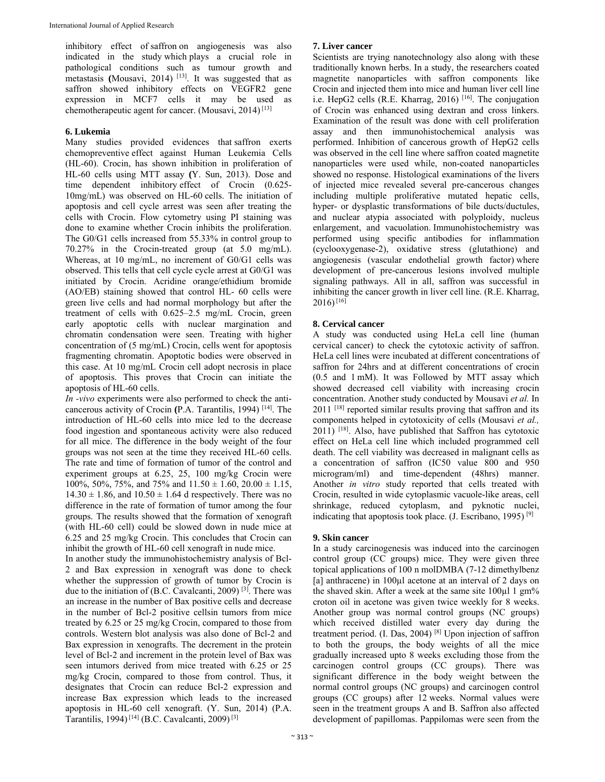inhibitory effect of saffron on angiogenesis was also indicated in the study which plays a crucial role in pathological conditions such as tumour growth and metastasis **(Mousavi, 2014)** [13]. It was suggested that as saffron showed inhibitory effects on VEGFR2 gene expression in MCF7 cells it may be used as chemotherapeutic agent for cancer. (Mousavi, 2014) [13]

# **6. Lukemia**

Many studies provided evidences that saffron exerts chemopreventive effect against Human Leukemia Cells (HL-60). Crocin, has shown inhibition in proliferation of HL-60 cells using MTT assay **(**Y. Sun, 2013). Dose and time dependent inhibitory effect of Crocin (0.625- 10mg/mL) was observed on HL-60 cells. The initiation of apoptosis and cell cycle arrest was seen after treating the cells with Crocin. Flow cytometry using PI staining was done to examine whether Crocin inhibits the proliferation. The G0/G1 cells increased from 55.33% in control group to 70.27% in the Crocin-treated group (at 5.0 mg/mL). Whereas, at 10 mg/mL, no increment of G0/G1 cells was observed. This tells that cell cycle cycle arrest at G0/G1 was initiated by Crocin. Acridine orange/ethidium bromide (AO/EB) staining showed that control HL- 60 cells were green live cells and had normal morphology but after the treatment of cells with 0.625–2.5 mg/mL Crocin, green early apoptotic cells with nuclear margination and chromatin condensation were seen. Treating with higher concentration of (5 mg/mL) Crocin, cells went for apoptosis fragmenting chromatin. Apoptotic bodies were observed in this case. At 10 mg/mL Crocin cell adopt necrosis in place of apoptosis. This proves that Crocin can initiate the apoptosis of HL-60 cells.

*In -vivo* experiments were also performed to check the anticancerous activity of Crocin **(**P.A. Tarantilis, 1994) [14]. The introduction of HL-60 cells into mice led to the decrease food ingestion and spontaneous activity were also reduced for all mice. The difference in the body weight of the four groups was not seen at the time they received HL-60 cells. The rate and time of formation of tumor of the control and experiment groups at 6.25, 25, 100 mg/kg Crocin were 100%, 50%, 75%, and 75% and  $11.50 \pm 1.60$ ,  $20.00 \pm 1.15$ ,  $14.30 \pm 1.86$ , and  $10.50 \pm 1.64$  d respectively. There was no difference in the rate of formation of tumor among the four groups. The results showed that the formation of xenograft (with HL-60 cell) could be slowed down in nude mice at 6.25 and 25 mg/kg Crocin. This concludes that Crocin can inhibit the growth of HL-60 cell xenograft in nude mice.

In another study the immunohistochemistry analysis of Bcl-2 and Bax expression in xenograft was done to check whether the suppression of growth of tumor by Crocin is due to the initiation of (B.C. Cavalcanti, 2009) <sup>[3]</sup>. There was an increase in the number of Bax positive cells and decrease in the number of Bcl-2 positive cellsin tumors from mice treated by 6.25 or 25 mg/kg Crocin, compared to those from controls. Western blot analysis was also done of Bcl-2 and Bax expression in xenografts. The decrement in the protein level of Bcl-2 and increment in the protein level of Bax was seen intumors derived from mice treated with 6.25 or 25 mg/kg Crocin, compared to those from control. Thus, it designates that Crocin can reduce Bcl-2 expression and increase Bax expression which leads to the increased apoptosis in HL-60 cell xenograft. (Y. Sun, 2014) (P.A. Tarantilis, 1994)<sup>[14]</sup> (B.C. Cavalcanti, 2009)<sup>[3]</sup>

# **7. Liver cancer**

Scientists are trying nanotechnology also along with these traditionally known herbs. In a study, the researchers coated magnetite nanoparticles with saffron components like Crocin and injected them into mice and human liver cell line i.e. HepG2 cells (R.E. Kharrag, 2016) [16]. The conjugation of Crocin was enhanced using dextran and cross linkers. Examination of the result was done with cell proliferation assay and then immunohistochemical analysis was performed. Inhibition of cancerous growth of HepG2 cells was observed in the cell line where saffron coated magnetite nanoparticles were used while, non-coated nanoparticles showed no response. Histological examinations of the livers of injected mice revealed several pre-cancerous changes including multiple proliferative mutated hepatic cells, hyper- or dysplastic transformations of bile ducts/ductules, and nuclear atypia associated with polyploidy, nucleus enlargement, and vacuolation. Immunohistochemistry was performed using specific antibodies for inflammation (cyclooxygenase-2), oxidative stress (glutathione) and angiogenesis (vascular endothelial growth factor) where development of pre-cancerous lesions involved multiple signaling pathways. All in all, saffron was successful in inhibiting the cancer growth in liver cell line. (R.E. Kharrag,  $2016$ <sup>[16]</sup>

# **8. Cervical cancer**

A study was conducted using HeLa cell line (human cervical cancer) to check the cytotoxic activity of saffron. HeLa cell lines were incubated at different concentrations of saffron for 24hrs and at different concentrations of crocin (0.5 and 1 mM). It was Followed by MTT assay which showed decreased cell viability with increasing crocin concentration. Another study conducted by Mousavi *et al.* In  $2011$ <sup>[18]</sup> reported similar results proving that saffron and its components helped in cytotoxicity of cells (Mousavi *et al.,* 2011) [18]. Also, have published that Saffron has cytotoxic effect on HeLa cell line which included programmed cell death. The cell viability was decreased in malignant cells as a concentration of saffron (IC50 value 800 and 950 microgram/ml) and time-dependent (48hrs) manner. Another *in vitro* study reported that cells treated with Crocin, resulted in wide cytoplasmic vacuole-like areas, cell shrinkage, reduced cytoplasm, and pyknotic nuclei, indicating that apoptosis took place. (J. Escribano, 1995)  $[9]$ 

# **9. Skin cancer**

In a study carcinogenesis was induced into the carcinogen control group (CC groups) mice. They were given three topical applications of 100 n molDMBA (7-12 dimethylbenz [a] anthracene) in 100µl acetone at an interval of 2 days on the shaved skin. After a week at the same site 100µl 1 gm% croton oil in acetone was given twice weekly for 8 weeks. Another group was normal control groups (NC groups) which received distilled water every day during the treatment period. (I. Das, 2004) [8] Upon injection of saffron to both the groups, the body weights of all the mice gradually increased upto 8 weeks excluding those from the carcinogen control groups (CC groups). There was significant difference in the body weight between the normal control groups (NC groups) and carcinogen control groups (CC groups) after 12 weeks. Normal values were seen in the treatment groups A and B. Saffron also affected development of papillomas. Pappilomas were seen from the